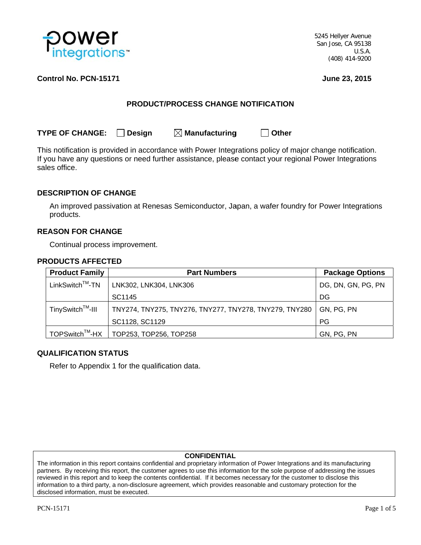

5245 Hellyer Avenue San Jose, CA 95138  $U.S.A.$ (408) 414-9200

# Control No. PCN-15171

June 23, 2015

# **PRODUCT/PROCESS CHANGE NOTIFICATION**

 $\Box$  Other

**TYPE OF CHANGE:**  $\Box$  Desian  $\boxtimes$  Manufacturing

This notification is provided in accordance with Power Integrations policy of major change notification. If you have any questions or need further assistance, please contact your regional Power Integrations sales office.

# **DESCRIPTION OF CHANGE**

An improved passivation at Renesas Semiconductor, Japan, a wafer foundry for Power Integrations products.

## **REASON FOR CHANGE**

Continual process improvement.

### **PRODUCTS AFFECTED**

| <b>Product Family</b>        | <b>Part Numbers</b>                                    | <b>Package Options</b> |
|------------------------------|--------------------------------------------------------|------------------------|
| $LinkSwitch^{TM}$ -TN        | LNK302, LNK304, LNK306                                 | DG, DN, GN, PG, PN     |
|                              | SC1145                                                 | DG                     |
| TinySwitch <sup>™</sup> -III | TNY274, TNY275, TNY276, TNY277, TNY278, TNY279, TNY280 | GN, PG, PN             |
|                              | SC1128, SC1129                                         | <b>PG</b>              |
| TOPSwitch <sup>™</sup> -HX   | TOP253, TOP256, TOP258                                 | GN, PG, PN             |

### **QUALIFICATION STATUS**

Refer to Appendix 1 for the qualification data.

### **CONFIDENTIAL**

The information in this report contains confidential and proprietary information of Power Integrations and its manufacturing partners. By receiving this report, the customer agrees to use this information for the sole purpose of addressing the issues reviewed in this report and to keep the contents confidential. If it becomes necessary for the customer to disclose this information to a third party, a non-disclosure agreement, which provides reasonable and customary protection for the disclosed information, must be executed.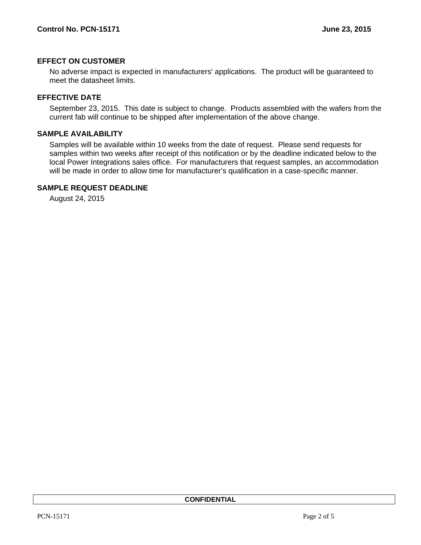# **EFFECT ON CUSTOMER**

No adverse impact is expected in manufacturers' applications. The product will be guaranteed to meet the datasheet limits.

### **EFFECTIVE DATE**

September 23, 2015. This date is subject to change. Products assembled with the wafers from the current fab will continue to be shipped after implementation of the above change.

# **SAMPLE AVAILABILITY**

Samples will be available within 10 weeks from the date of request. Please send requests for samples within two weeks after receipt of this notification or by the deadline indicated below to the local Power Integrations sales office. For manufacturers that request samples, an accommodation will be made in order to allow time for manufacturer's qualification in a case-specific manner.

### **SAMPLE REQUEST DEADLINE**

August 24, 2015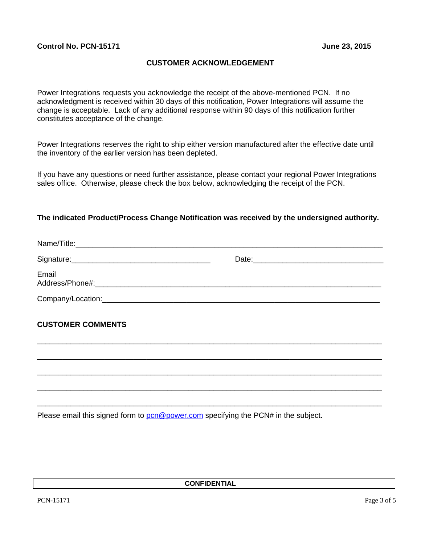# **CUSTOMER ACKNOWLEDGEMENT**

Power Integrations requests you acknowledge the receipt of the above-mentioned PCN. If no acknowledgment is received within 30 days of this notification, Power Integrations will assume the change is acceptable. Lack of any additional response within 90 days of this notification further constitutes acceptance of the change.

Power Integrations reserves the right to ship either version manufactured after the effective date until the inventory of the earlier version has been depleted.

If you have any questions or need further assistance, please contact your regional Power Integrations sales office. Otherwise, please check the box below, acknowledging the receipt of the PCN.

## **The indicated Product/Process Change Notification was received by the undersigned authority.**

| Email                    |  |
|--------------------------|--|
|                          |  |
| <b>CUSTOMER COMMENTS</b> |  |
|                          |  |
|                          |  |
|                          |  |
|                          |  |

Please email this signed form to **pcn@power.com** specifying the PCN# in the subject.

**CONFIDENTIAL**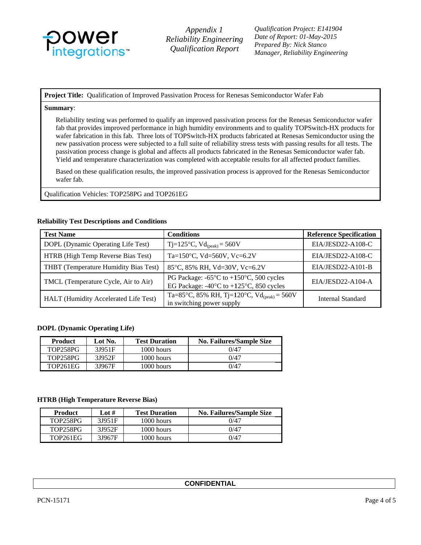

Appendix 1 **Reliability Engineering** Qualification Report

**Oualification Project: E141904** Date of Report: 01-May-2015 Prepared By: Nick Stanco Manager, Reliability Engineering

Project Title: Qualification of Improved Passivation Process for Renesas Semiconductor Wafer Fab

#### Summary:

Reliability testing was performed to qualify an improved passivation process for the Renesas Semiconductor wafer fab that provides improved performance in high humidity environments and to qualify TOPSwitch-HX products for wafer fabrication in this fab. Three lots of TOPSwitch-HX products fabricated at Renesas Semiconductor using the new passivation process were subjected to a full suite of reliability stress tests with passing results for all tests. The passivation process change is global and affects all products fabricated in the Renesas Semiconductor wafer fab. Yield and temperature characterization was completed with acceptable results for all affected product families.

Based on these qualification results, the improved passivation process is approved for the Renesas Semiconductor wafer fab.

Qualification Vehicles: TOP258PG and TOP261EG

#### **Reliability Test Descriptions and Conditions**

| <b>Test Name</b>                      | <b>Conditions</b>                                                                                                          | <b>Reference Specification</b> |
|---------------------------------------|----------------------------------------------------------------------------------------------------------------------------|--------------------------------|
| DOPL (Dynamic Operating Life Test)    | Tj=125°C, $Vd_{(peak)} = 560V$                                                                                             | EIA/JESD22-A108-C              |
| HTRB (High Temp Reverse Bias Test)    | Ta=150 $\degree$ C, Vd=560V, Vc=6.2V                                                                                       | EIA/JESD22-A108-C              |
| THBT (Temperature Humidity Bias Test) | 85°C, 85% RH, Vd=30V, Vc=6.2V                                                                                              | EIA/JESD22-A101-B              |
| TMCL (Temperature Cycle, Air to Air)  | PG Package: $-65^{\circ}$ C to $+150^{\circ}$ C, 500 cycles<br>EG Package: $-40^{\circ}$ C to $+125^{\circ}$ C, 850 cycles | EIA/JESD22-A104-A              |
| HALT (Humidity Accelerated Life Test) | Ta=85°C, 85% RH, Tj=120°C, Vd <sub>(peak)</sub> = 560V<br>in switching power supply                                        | Internal Standard              |

### **DOPL** (Dynamic Operating Life)

| <b>Product</b>  | Lot No. | <b>Test Duration</b> | <b>No. Failures/Sample Size</b> |
|-----------------|---------|----------------------|---------------------------------|
| <b>TOP258PG</b> | 31951F  | $1000$ hours         | 0/47                            |
| <b>TOP258PG</b> | 31952F  | $1000$ hours         | 0/47                            |
| <b>TOP261EG</b> | 31967F  | 1000 hours           | 0/47                            |

#### **HTRB (High Temperature Reverse Bias)**

| <b>Product</b> | Lot $#$ | <b>Test Duration</b> | <b>No. Failures/Sample Size</b> |
|----------------|---------|----------------------|---------------------------------|
| TOP258PG       | 31951F  | $1000$ hours         | 0/47                            |
| TOP258PG       | 3J952F  | 1000 hours           | 0/47                            |
| TOP261EG       | 31967F  | 1000 hours           | 0/47                            |

|  | <b>CONFIDENTIAL</b> |
|--|---------------------|
|--|---------------------|